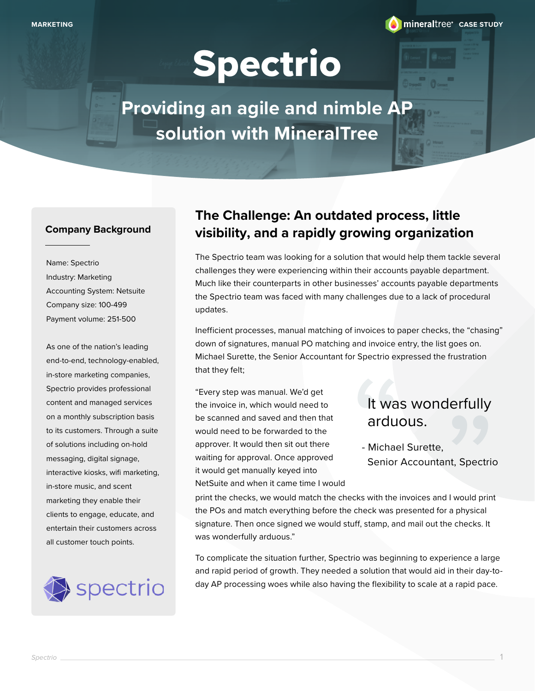

# Spectrio

**Providing an agile and nimble AP solution with MineralTree**

#### **Company Background**

Name: Spectrio Industry: Marketing Accounting System: Netsuite Company size: 100-499 Payment volume: 251-500

As one of the nation's leading end-to-end, technology-enabled, in-store marketing companies, Spectrio provides professional content and managed services on a monthly subscription basis to its customers. Through a suite of solutions including on-hold messaging, digital signage, interactive kiosks, wifi marketing, in-store music, and scent marketing they enable their clients to engage, educate, and entertain their customers across all customer touch points.



### **The Challenge: An outdated process, little visibility, and a rapidly growing organization**

The Spectrio team was looking for a solution that would help them tackle several challenges they were experiencing within their accounts payable department. Much like their counterparts in other businesses' accounts payable departments the Spectrio team was faced with many challenges due to a lack of procedural updates.

Inefficient processes, manual matching of invoices to paper checks, the "chasing" down of signatures, manual PO matching and invoice entry, the list goes on. Michael Surette, the Senior Accountant for Spectrio expressed the frustration that they felt;

"Every step was manual. We'd get the invoice in, which would need to be scanned and saved and then that would need to be forwarded to the approver. It would then sit out there waiting for approval. Once approved it would get manually keyed into NetSuite and when it came time I would

# It was<br>ardud<br>- Michae<br>Senior It was wonderfully

Senior Accountant, Spectrio

It was worrecentumy<br>arduous.<br>- Michael Surette,<br>Senior Accountant, Spectric<br>s with the invoices and I would print<br>leck was presented for a physical<br>stamp, and mail out the checks. It print the checks, we would match the checks with the invoices and I would print the POs and match everything before the check was presented for a physical signature. Then once signed we would stuff, stamp, and mail out the checks. It was wonderfully arduous."

To complicate the situation further, Spectrio was beginning to experience a large and rapid period of growth. They needed a solution that would aid in their day-today AP processing woes while also having the flexibility to scale at a rapid pace.